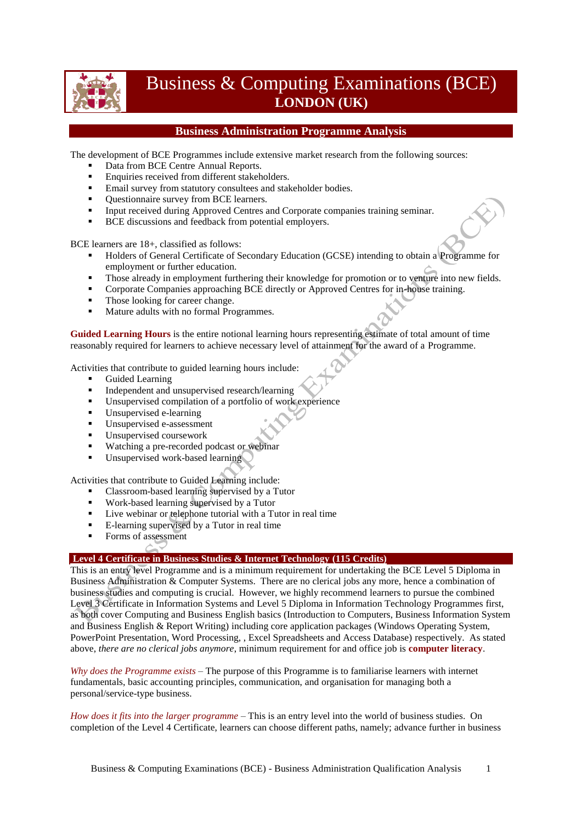

# Business & Computing Examinations (BCE) **LONDON (UK)**

## **Business Administration Programme Analysis**

The development of BCE Programmes include extensive market research from the following sources:

- Data from BCE Centre Annual Reports.
- **Enquiries received from different stakeholders.**
- **Email survey from statutory consultees and stakeholder bodies.**
- Ouestionnaire survey from BCE learners.
- Input received during Approved Centres and Corporate companies training seminar.
- **BCE** discussions and feedback from potential employers.

BCE learners are 18+, classified as follows:

- Holders of General Certificate of Secondary Education (GCSE) intending to obtain a Programme for employment or further education.
- Those already in employment furthering their knowledge for promotion or to venture into new fields.
- **Corporate Companies approaching BCE directly or Approved Centres for in-house training.**
- Those looking for career change.
- Mature adults with no formal Programmes.

**Guided Learning Hours** is the entire notional learning hours representing estimate of total amount of time reasonably required for learners to achieve necessary level of attainment for the award of a Programme.

Activities that contribute to guided learning hours include:

- Guided Learning
- Independent and unsupervised research/learning<br>Insupervised compilation of a portfolio of work
- Unsupervised compilation of a portfolio of work experience
- Unsupervised e-learning
- Unsupervised e-assessment
- Unsupervised coursework
- Watching a pre-recorded podcast or webinar
- Unsupervised work-based learning

Activities that contribute to Guided Learning include:

- Classroom-based learning supervised by a Tutor
- Work-based learning supervised by a Tutor
- Live webinar or telephone tutorial with a Tutor in real time
- E-learning supervised by a Tutor in real time
- Forms of assessment

#### **Level 4 Certificate in Business Studies & Internet Technology (115 Credits)**

This is an entry level Programme and is a minimum requirement for undertaking the BCE Level 5 Diploma in Business Administration & Computer Systems. There are no clerical jobs any more, hence a combination of business studies and computing is crucial. However, we highly recommend learners to pursue the combined Level 3 Certificate in Information Systems and Level 5 Diploma in Information Technology Programmes first, as both cover Computing and Business English basics (Introduction to Computers, Business Information System and Business English & Report Writing) including core application packages (Windows Operating System, PowerPoint Presentation, Word Processing, , Excel Spreadsheets and Access Database) respectively. As stated above, *there are no clerical jobs anymore*, minimum requirement for and office job is **computer literacy**.

*Why does the Programme exists* – The purpose of this Programme is to familiarise learners with internet fundamentals, basic accounting principles, communication, and organisation for managing both a personal/service-type business.

*How does it fits into the larger programme* – This is an entry level into the world of business studies. On completion of the Level 4 Certificate, learners can choose different paths, namely; advance further in business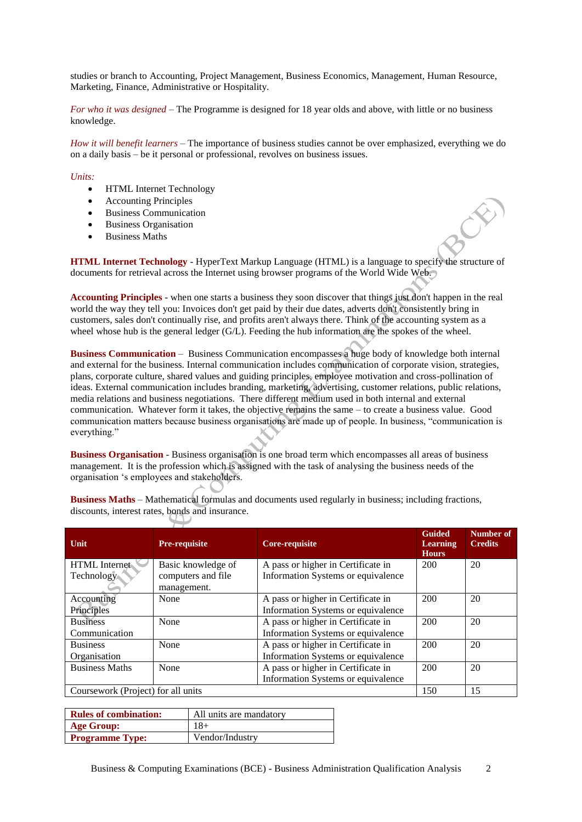studies or branch to Accounting, Project Management, Business Economics, Management, Human Resource, Marketing, Finance, Administrative or Hospitality.

*For who it was designed* – The Programme is designed for 18 year olds and above, with little or no business knowledge.

*How it will benefit learners* – The importance of business studies cannot be over emphasized, everything we do on a daily basis – be it personal or professional, revolves on business issues.

#### *Units:*

- HTML Internet Technology
- Accounting Principles
- Business Communication
- Business Organisation
- Business Maths

**HTML Internet Technology** - HyperText Markup Language (HTML) is a language to specify the structure of documents for retrieval across the Internet using browser programs of the World Wide Web.

**Accounting Principles** - when one starts a business they soon discover that things just don't happen in the real world the way they tell you: Invoices don't get paid by their due dates, adverts don't consistently bring in customers, sales don't continually rise, and profits aren't always there. Think of the accounting system as a wheel whose hub is the general ledger (G/L). Feeding the hub information are the spokes of the wheel.

**Business Communication** – Business Communication encompasses a huge body of knowledge both internal and external for the business. Internal communication includes communication of corporate vision, strategies, plans, corporate culture, shared values and guiding principles, employee motivation and cross-pollination of ideas. External communication includes branding, marketing, advertising, customer relations, public relations, media relations and business negotiations. There different medium used in both internal and external communication. Whatever form it takes, the objective remains the same – to create a business value. Good communication matters because business organisations are made up of people. In business, "communication is everything."

**Business Organisation** - Business organisation is one broad term which encompasses all areas of business management. It is the profession which is assigned with the task of analysing the business needs of the organisation 's employees and stakeholders.

| Unit                               | <b>Pre-requisite</b> | Core-requisite                     | <b>Guided</b><br><b>Learning</b><br><b>Hours</b> | Number of<br><b>Credits</b> |
|------------------------------------|----------------------|------------------------------------|--------------------------------------------------|-----------------------------|
| <b>HTML</b> Internet               | Basic knowledge of   | A pass or higher in Certificate in | 200                                              | 20                          |
| Technology                         | computers and file   | Information Systems or equivalence |                                                  |                             |
|                                    | management.          |                                    |                                                  |                             |
| Accounting                         | None                 | A pass or higher in Certificate in | 200                                              | 20                          |
| Principles                         |                      | Information Systems or equivalence |                                                  |                             |
| <b>Business</b>                    | None                 | A pass or higher in Certificate in | 200                                              | 20                          |
| Communication                      |                      | Information Systems or equivalence |                                                  |                             |
| <b>Business</b>                    | None                 | A pass or higher in Certificate in | 200                                              | 20                          |
| Organisation                       |                      | Information Systems or equivalence |                                                  |                             |
| <b>Business Maths</b>              | None                 | A pass or higher in Certificate in | 200                                              | 20                          |
|                                    |                      | Information Systems or equivalence |                                                  |                             |
| Coursework (Project) for all units |                      |                                    | 150                                              | 15                          |

**Business Maths** – Mathematical formulas and documents used regularly in business; including fractions, discounts, interest rates, bonds and insurance.

| <b>Rules of combination:</b> | All units are mandatory |
|------------------------------|-------------------------|
| Age Group:                   | 18+                     |
| <b>Programme Type:</b>       | Vendor/Industry         |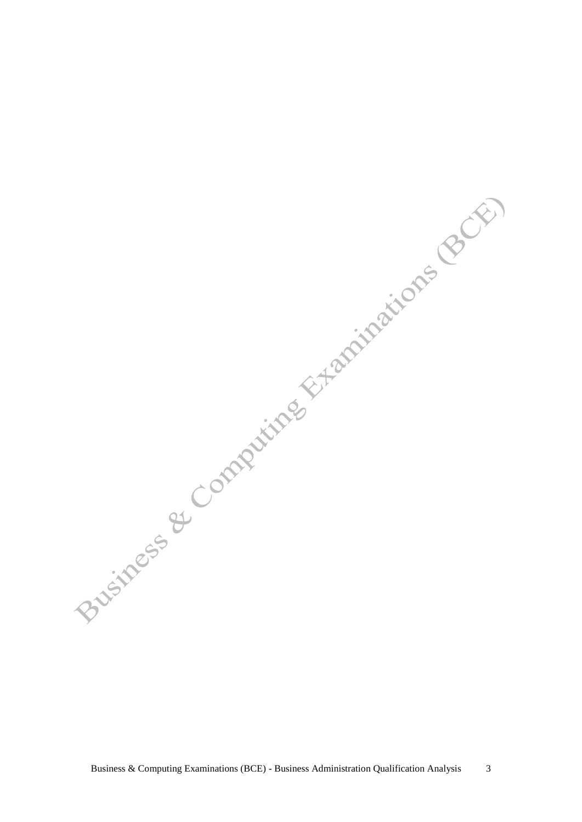Business et Computing Examinations (BCK)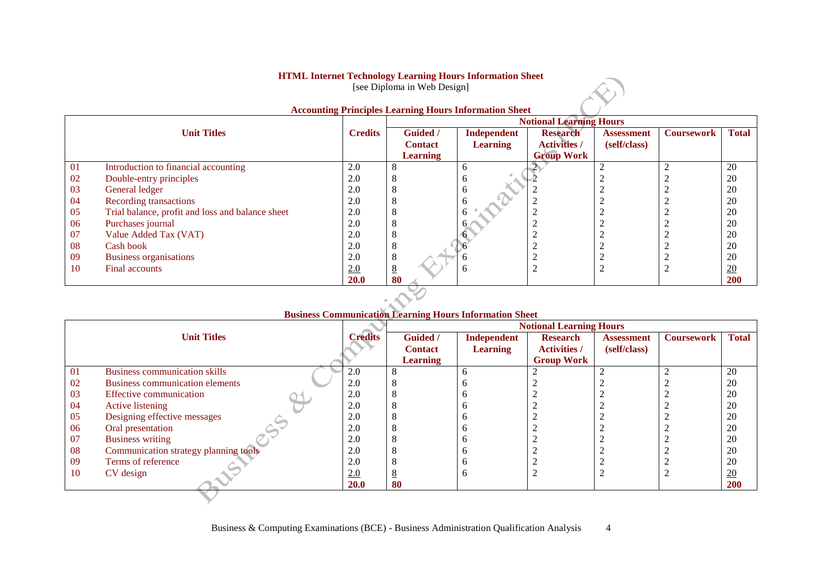#### **HTML Internet Technology Learning Hours Information Sheet**

[see Diploma in Web Design]

 $\left\langle \cdot \right\rangle$ 

|     |                                                  |                |                      |                    | <b>Notional Learning Hours</b> |                   |                   |              |
|-----|--------------------------------------------------|----------------|----------------------|--------------------|--------------------------------|-------------------|-------------------|--------------|
|     | <b>Unit Titles</b>                               | <b>Credits</b> | Guided /             | <b>Independent</b> | <b>Research</b>                | <b>Assessment</b> | <b>Coursework</b> | <b>Total</b> |
|     |                                                  |                | <b>Contact</b>       | <b>Learning</b>    | <b>Activities /</b>            | (self/class)      |                   |              |
|     |                                                  |                | <b>Learning</b>      |                    | <b>Group Work</b>              |                   |                   |              |
| 01  | Introduction to financial accounting             | 2.0            |                      |                    |                                |                   |                   | 20           |
| 02  | Double-entry principles                          | 2.0            |                      |                    |                                |                   |                   | 20           |
| 03  | General ledger                                   | 2.0            |                      |                    |                                |                   |                   | 20           |
| 04  | Recording transactions                           | 2.0            |                      |                    |                                |                   |                   | 20           |
| 05  | Trial balance, profit and loss and balance sheet | 2.0            |                      |                    |                                |                   |                   | 20           |
| 06  | Purchases journal                                | 2.0            |                      |                    |                                |                   |                   | 20           |
| 07  | Value Added Tax (VAT)                            | 2.0            |                      |                    |                                |                   |                   | 20           |
| 08  | Cash book                                        | 2.0            |                      |                    |                                |                   |                   | 20           |
| -09 | <b>Business organisations</b>                    | 2.0            |                      |                    |                                |                   |                   | 20           |
| 10  | Final accounts                                   | 2.0            | $\underline{\delta}$ | n                  |                                |                   |                   | 20           |
|     |                                                  | <b>20.0</b>    | 80                   |                    |                                |                   |                   | 200          |

#### **Accounting Principles Learning Hours Information Sheet**

|    | <b>Business Communication Learning Hours Information Sheet</b> |                |                                |                    |                     |                   |                   |              |  |  |  |  |
|----|----------------------------------------------------------------|----------------|--------------------------------|--------------------|---------------------|-------------------|-------------------|--------------|--|--|--|--|
|    |                                                                |                | <b>Notional Learning Hours</b> |                    |                     |                   |                   |              |  |  |  |  |
|    | <b>Unit Titles</b>                                             | <b>Credits</b> | <b>Guided</b> /                | <b>Independent</b> | <b>Research</b>     | <b>Assessment</b> | <b>Coursework</b> | <b>Total</b> |  |  |  |  |
|    |                                                                |                | <b>Contact</b>                 | <b>Learning</b>    | <b>Activities /</b> | (self/class)      |                   |              |  |  |  |  |
|    |                                                                |                | <b>Learning</b>                |                    | <b>Group Work</b>   |                   |                   |              |  |  |  |  |
| 01 | <b>Business communication skills</b>                           | 2.0            |                                |                    |                     |                   |                   | 20           |  |  |  |  |
| 02 | <b>Business communication elements</b>                         | 2.0            |                                |                    |                     |                   |                   | 20           |  |  |  |  |
| 03 | <b>Effective communication</b>                                 | 2.0            |                                |                    |                     |                   |                   | 20           |  |  |  |  |
| 04 | <b>Active listening</b>                                        | 2.0            |                                |                    |                     |                   |                   | 20           |  |  |  |  |
| 05 | Designing effective messages                                   | 2.0            |                                |                    |                     |                   |                   | 20           |  |  |  |  |
| 06 | Oral presentation                                              | 2.0            |                                |                    |                     |                   |                   | 20           |  |  |  |  |
| 07 | <b>Business writing</b>                                        | 2.0            |                                |                    |                     |                   |                   | 20           |  |  |  |  |
| 08 | Communication strategy planning tools                          | 2.0            |                                |                    |                     |                   |                   | 20           |  |  |  |  |
| 09 | Terms of reference                                             | 2.0            |                                |                    |                     |                   |                   | 20           |  |  |  |  |
| 10 | CV design                                                      | 2.0            |                                |                    |                     |                   |                   | 20           |  |  |  |  |
|    |                                                                | <b>20.0</b>    | 80                             |                    |                     |                   |                   | 200          |  |  |  |  |
|    |                                                                |                |                                |                    |                     |                   |                   |              |  |  |  |  |

# **Business Communication Learning Hours Information Sheet**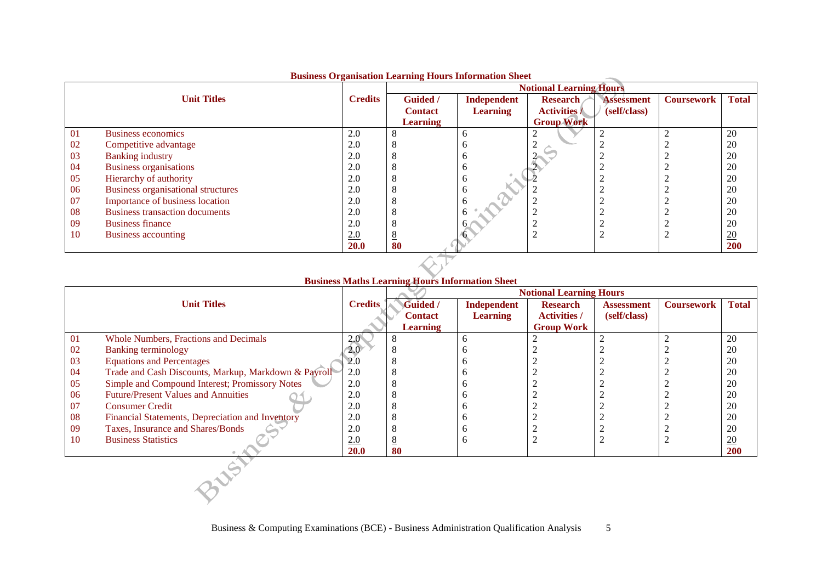|    |                                       |                |                 | <u>Dusiness Organisation Ecarning Hours Information Sheet</u> | <b>Notional Learning Hours</b> |                   |                   |              |  |
|----|---------------------------------------|----------------|-----------------|---------------------------------------------------------------|--------------------------------|-------------------|-------------------|--------------|--|
|    | <b>Unit Titles</b>                    | <b>Credits</b> | Guided /        | Independent                                                   | <b>Research</b>                | <b>Assessment</b> | <b>Coursework</b> | <b>Total</b> |  |
|    |                                       |                | <b>Contact</b>  | <b>Learning</b>                                               | <b>Activities /</b>            | (self/class)      |                   |              |  |
|    |                                       |                | <b>Learning</b> |                                                               | <b>Group Work</b>              |                   |                   |              |  |
| 01 | <b>Business economics</b>             | 2.0            |                 |                                                               |                                |                   |                   | 20           |  |
| 02 | Competitive advantage                 | 2.0            |                 |                                                               |                                |                   |                   | 20           |  |
| 03 | <b>Banking industry</b>               | 2.0            |                 |                                                               |                                |                   |                   | 20           |  |
| 04 | <b>Business organisations</b>         | 2.0            |                 |                                                               |                                |                   |                   | 20           |  |
| 05 | Hierarchy of authority                | 2.0            |                 |                                                               |                                |                   |                   | 20           |  |
| 06 | Business organisational structures    | 2.0            |                 | n                                                             |                                |                   |                   | 20           |  |
| 07 | Importance of business location       | 2.0            |                 |                                                               |                                |                   |                   | 20           |  |
| 08 | <b>Business transaction documents</b> | 2.0            |                 | n                                                             |                                |                   |                   | 20           |  |
| 09 | <b>Business finance</b>               | 2.0            |                 |                                                               |                                |                   |                   | 20           |  |
| 10 | Business accounting                   | 2.0            |                 |                                                               |                                |                   |                   | 20           |  |
|    |                                       | <b>20.0</b>    | 80              |                                                               |                                |                   |                   | <b>200</b>   |  |

#### **Business Organisation Learning Hours Information Sheet**

### **Business Maths Learning Hours Information Sheet**

|     |                                                      |                  | <b>Notional Learning Hours</b> |                 |                     |                   |                   |              |
|-----|------------------------------------------------------|------------------|--------------------------------|-----------------|---------------------|-------------------|-------------------|--------------|
|     | <b>Unit Titles</b>                                   | <b>Credits</b>   | Guided /                       | Independent     | <b>Research</b>     | <b>Assessment</b> | <b>Coursework</b> | <b>Total</b> |
|     |                                                      |                  | <b>Contact</b>                 | <b>Learning</b> | <b>Activities /</b> | (self/class)      |                   |              |
|     |                                                      |                  | <b>Learning</b>                |                 | <b>Group Work</b>   |                   |                   |              |
| 01  | <b>Whole Numbers, Fractions and Decimals</b>         | 2.0 <sub>1</sub> |                                | h               |                     |                   |                   | 20           |
| 02  | <b>Banking terminology</b>                           | 2.0              |                                |                 |                     |                   |                   | 20           |
| 03  | <b>Equations and Percentages</b>                     | 2.0              |                                |                 |                     |                   |                   | 20           |
| -04 | Trade and Cash Discounts, Markup, Markdown & Payroll | 2.0              |                                |                 |                     |                   |                   | 20           |
| 05  | Simple and Compound Interest; Promissory Notes       | 2.0              |                                |                 |                     |                   |                   | 20           |
| 06  | <b>Future/Present Values and Annuities</b>           | 2.0              |                                |                 |                     |                   |                   | 20           |
| 07  | <b>Consumer Credit</b>                               | 2.0              |                                |                 |                     |                   |                   | 20           |
| 08  | Financial Statements, Depreciation and Inventory     | 2.0              |                                |                 |                     |                   |                   | 20           |
| -09 | Taxes, Insurance and Shares/Bonds                    | 2.0              |                                |                 |                     |                   |                   | 20           |
| 10  | <b>Business Statistics</b>                           | 2.0              |                                | n               | $\overline{2}$      |                   |                   | 20           |
|     |                                                      | <b>20.0</b>      | 80                             |                 |                     |                   |                   | 200          |
|     |                                                      |                  |                                |                 |                     |                   |                   |              |
|     |                                                      |                  |                                |                 |                     |                   |                   |              |
|     |                                                      |                  |                                |                 |                     |                   |                   |              |
|     |                                                      |                  |                                |                 |                     |                   |                   |              |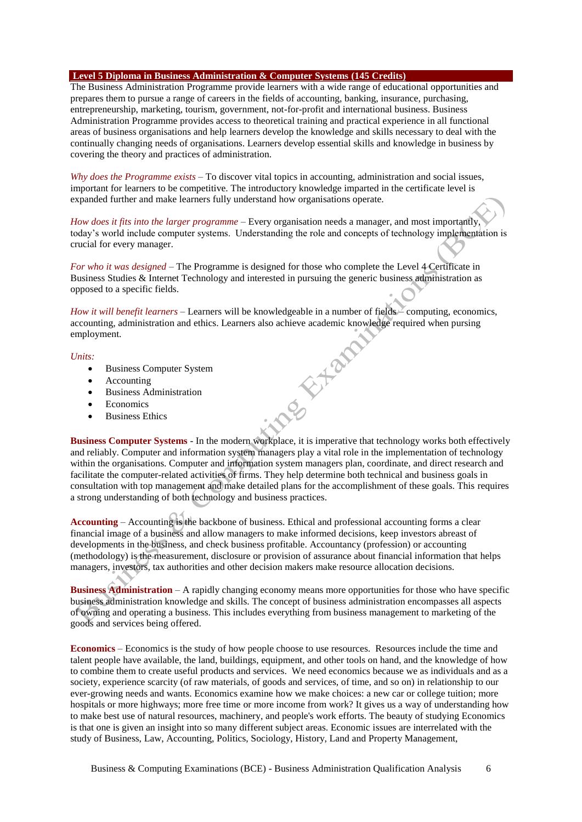#### **Level 5 Diploma in Business Administration & Computer Systems (145 Credits)**

The Business Administration Programme provide learners with a wide range of educational opportunities and prepares them to pursue a range of careers in the fields of accounting, banking, insurance, purchasing, entrepreneurship, marketing, tourism, government, not-for-profit and international business. Business Administration Programme provides access to theoretical training and practical experience in all functional areas of business organisations and help learners develop the knowledge and skills necessary to deal with the continually changing needs of organisations. Learners develop essential skills and knowledge in business by covering the theory and practices of administration.

*Why does the Programme exists* – To discover vital topics in accounting, administration and social issues, important for learners to be competitive. The introductory knowledge imparted in the certificate level is expanded further and make learners fully understand how organisations operate.

*How does it fits into the larger programme* – Every organisation needs a manager, and most importantly, today's world include computer systems. Understanding the role and concepts of technology implementation is crucial for every manager.

*For who it was designed* – The Programme is designed for those who complete the Level 4 Certificate in Business Studies & Internet Technology and interested in pursuing the generic business administration as opposed to a specific fields.

*How it will benefit learners* – Learners will be knowledgeable in a number of fields – computing, economics, accounting, administration and ethics. Learners also achieve academic knowledge required when pursing OB EXHIBITS employment.

#### *Units:*

- Business Computer System
- Accounting
- **•** Business Administration
- Economics
- Business Ethics

**Business Computer Systems** - In the modern workplace, it is imperative that technology works both effectively and reliably. Computer and information system managers play a vital role in the implementation of technology within the organisations. Computer and information system managers plan, coordinate, and direct research and facilitate the computer-related activities of firms. They help determine both technical and business goals in consultation with top management and make detailed plans for the accomplishment of these goals. This requires a strong understanding of both technology and business practices.

**Accounting** – Accounting is the backbone of business. Ethical and professional accounting forms a clear financial image of a business and allow managers to make informed decisions, keep investors abreast of developments in the business, and check business profitable. Accountancy (profession) or accounting (methodology) is the measurement, disclosure or provision of assurance about financial information that helps managers, investors, tax authorities and other decision makers make resource allocation decisions.

**Business Administration** – A rapidly changing economy means more opportunities for those who have specific business administration knowledge and skills. The concept of business administration encompasses all aspects of owning and operating a business. This includes everything from business management to marketing of the goods and services being offered.

**Economics** – Economics is the study of how people choose to use resources. Resources include the time and talent people have available, the land, buildings, equipment, and other tools on hand, and the knowledge of how to combine them to create useful products and services. We need economics because we as individuals and as a society, experience scarcity (of raw materials, of goods and services, of time, and so on) in relationship to our ever-growing needs and wants. Economics examine how we make choices: a new car or college tuition; more hospitals or more highways; more free time or more income from work? It gives us a way of understanding how to make best use of natural resources, machinery, and people's work efforts. The beauty of studying Economics is that one is given an insight into so many different subject areas. Economic issues are interrelated with the study of Business, Law, Accounting, Politics, Sociology, History, Land and Property Management,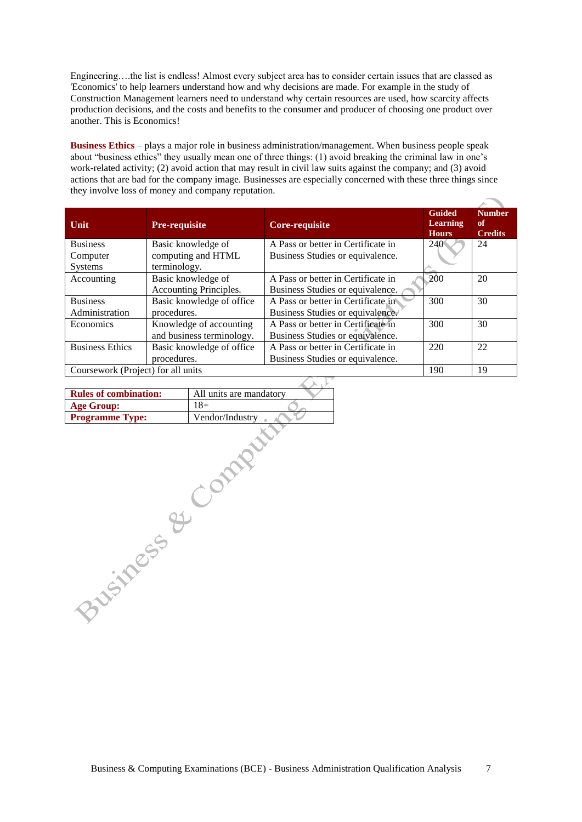Engineering….the list is endless! Almost every subject area has to consider certain issues that are classed as 'Economics' to help learners understand how and why decisions are made. For example in the study of Construction Management learners need to understand why certain resources are used, how scarcity affects production decisions, and the costs and benefits to the consumer and producer of choosing one product over another. This is Economics!

**Business Ethics** – plays a major role in business administration/management. When business people speak about "business ethics" they usually mean one of three things: (1) avoid breaking the criminal law in one's work-related activity; (2) avoid action that may result in civil law suits against the company; and (3) avoid actions that are bad for the company image. Businesses are especially concerned with these three things since they involve loss of money and company reputation.

| <b>Unit</b>                                     | <b>Pre-requisite</b>                                     | Core-requisite                                                         | <b>Guided</b><br><b>Learning</b><br><b>Hours</b> | <b>Number</b><br>of<br><b>Credits</b> |  |  |
|-------------------------------------------------|----------------------------------------------------------|------------------------------------------------------------------------|--------------------------------------------------|---------------------------------------|--|--|
| <b>Business</b><br>Computer<br><b>Systems</b>   | Basic knowledge of<br>computing and HTML<br>terminology. | A Pass or better in Certificate in<br>Business Studies or equivalence. | 240                                              | 24                                    |  |  |
| Accounting                                      | Basic knowledge of<br>Accounting Principles.             | A Pass or better in Certificate in<br>Business Studies or equivalence. | 200                                              | 20                                    |  |  |
| <b>Business</b><br>Administration               | Basic knowledge of office<br>procedures.                 | A Pass or better in Certificate in<br>Business Studies or equivalence. | 300                                              | 30                                    |  |  |
| Economics                                       | Knowledge of accounting<br>and business terminology.     | A Pass or better in Certificate in<br>Business Studies or equivalence. | 300                                              | 30                                    |  |  |
| <b>Business Ethics</b>                          | Basic knowledge of office<br>procedures.                 | A Pass or better in Certificate in<br>Business Studies or equivalence. | 220                                              | 22                                    |  |  |
| Coursework (Project) for all units<br>19<br>190 |                                                          |                                                                        |                                                  |                                       |  |  |

| <b>Rules of combination:</b> | All units are mandatory |  |
|------------------------------|-------------------------|--|
| <b>Age Group:</b>            | $18+$                   |  |
| <b>Programme Type:</b>       | Vendor/Industry         |  |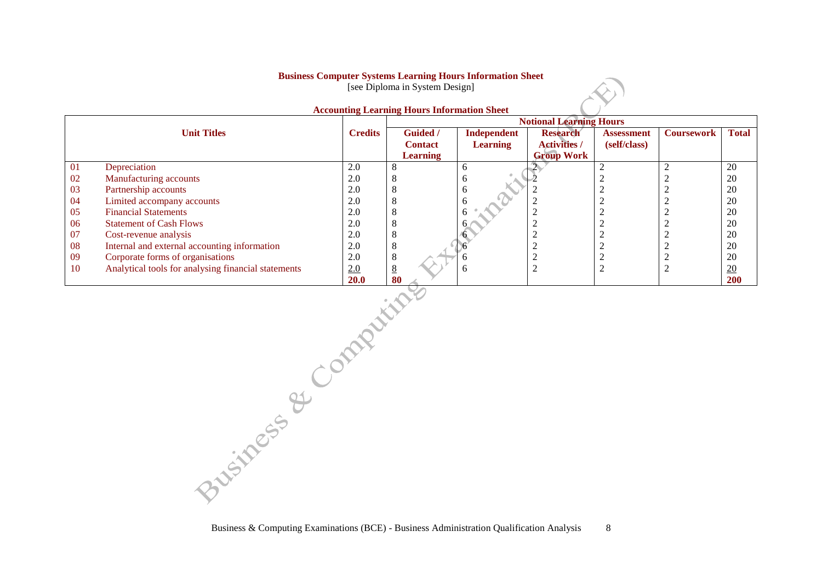#### **Business Computer Systems Learning Hours Information Sheet**

[see Diploma in System Design]

|    |                                                     |                |                 | <b>Notional Learning Hours</b> |                     |                   |                   |              |  |  |
|----|-----------------------------------------------------|----------------|-----------------|--------------------------------|---------------------|-------------------|-------------------|--------------|--|--|
|    | <b>Unit Titles</b>                                  | <b>Credits</b> | <b>Guided</b> / | <b>Independent</b>             | <b>Research</b>     | <b>Assessment</b> | <b>Coursework</b> | <b>Total</b> |  |  |
|    |                                                     |                | <b>Contact</b>  | <b>Learning</b>                | <b>Activities /</b> | (self/class)      |                   |              |  |  |
|    |                                                     |                | <b>Learning</b> |                                | <b>Group Work</b>   |                   |                   |              |  |  |
| 01 | Depreciation                                        | 2.0            |                 |                                |                     |                   |                   | 20           |  |  |
| 02 | Manufacturing accounts                              | 2.0            | 8               |                                |                     |                   |                   | 20           |  |  |
| 03 | Partnership accounts                                | 2.0            | 8               |                                |                     |                   |                   | 20           |  |  |
| 04 | Limited accompany accounts                          | 2.0            | 8               |                                |                     |                   |                   | 20           |  |  |
| 05 | <b>Financial Statements</b>                         | 2.0            | Ō               |                                |                     |                   |                   | 20           |  |  |
| 06 | <b>Statement of Cash Flows</b>                      | 2.0            | 8               |                                |                     |                   |                   | 20           |  |  |
| 07 | Cost-revenue analysis                               | 2.0            | 8               |                                |                     |                   |                   | 20           |  |  |
| 08 | Internal and external accounting information        | 2.0            | 8               |                                |                     |                   |                   | 20           |  |  |
| 09 | Corporate forms of organisations                    | 2.0            | 8               |                                |                     |                   |                   | 20           |  |  |
| 10 | Analytical tools for analysing financial statements | 2.0            | 8               |                                |                     |                   |                   | 20           |  |  |
|    |                                                     | 20.0           | 80              |                                |                     |                   |                   | 200          |  |  |

#### **Accounting Learning Hours Information Sheet**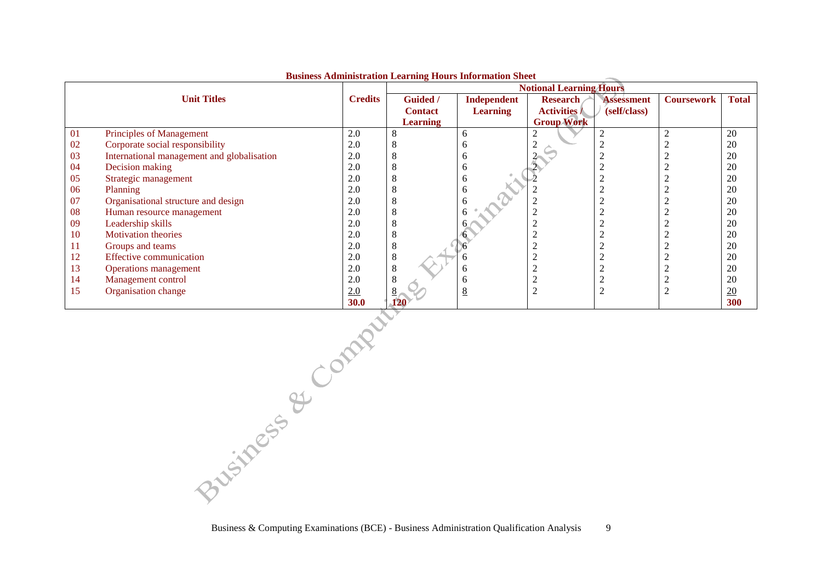|           |                                            |                | разнево теаницион апон пеатище тгой в ниотимпон энесе |                 | <b>Notional Learning Hours</b> |                   |                   |              |
|-----------|--------------------------------------------|----------------|-------------------------------------------------------|-----------------|--------------------------------|-------------------|-------------------|--------------|
|           | <b>Unit Titles</b>                         | <b>Credits</b> | <b>Guided</b> /                                       | Independent     | <b>Research</b>                | <b>Assessment</b> | <b>Coursework</b> | <b>Total</b> |
|           |                                            |                | <b>Contact</b>                                        | <b>Learning</b> | <b>Activities /</b>            | (self/class)      |                   |              |
|           |                                            |                | <b>Learning</b>                                       |                 | <b>Group Work</b>              |                   |                   |              |
| 01        | <b>Principles of Management</b>            | 2.0            |                                                       | 6               |                                | $\mathcal{L}$     |                   | 20           |
| 02        | Corporate social responsibility            | 2.0            |                                                       |                 |                                |                   |                   | 20           |
| 03        | International management and globalisation | 2.0            |                                                       |                 |                                |                   |                   | 20           |
| 04        | Decision making                            | 2.0            |                                                       |                 |                                |                   |                   | 20           |
| 05        | Strategic management                       | 2.0            |                                                       | h               |                                |                   |                   | 20           |
| 06        | Planning                                   | 2.0            |                                                       | h               |                                |                   |                   | 20           |
| 07        | Organisational structure and design        | 2.0            |                                                       |                 |                                |                   |                   | 20           |
| 08        | Human resource management                  | 2.0            |                                                       |                 |                                |                   |                   | 20           |
| 09        | Leadership skills                          | 2.0            |                                                       |                 |                                |                   |                   | 20           |
| <b>10</b> | <b>Motivation theories</b>                 | 2.0            |                                                       |                 |                                |                   |                   | 20           |
| 11        | Groups and teams                           | 2.0            |                                                       |                 |                                |                   |                   | 20           |
| 12        | <b>Effective communication</b>             | 2.0            |                                                       |                 |                                |                   |                   | 20           |
| 13        | <b>Operations management</b>               | 2.0            |                                                       | h               |                                |                   |                   | 20           |
| 14        | Management control                         | 2.0            |                                                       | n               |                                |                   |                   | 20           |
| 15        | Organisation change                        | 2.0            |                                                       | $\underline{8}$ | 2                              |                   |                   | 20           |
|           |                                            | 30.0           | 120                                                   |                 |                                |                   |                   | 300          |

**Business Administration Learning Hours Information Sheet**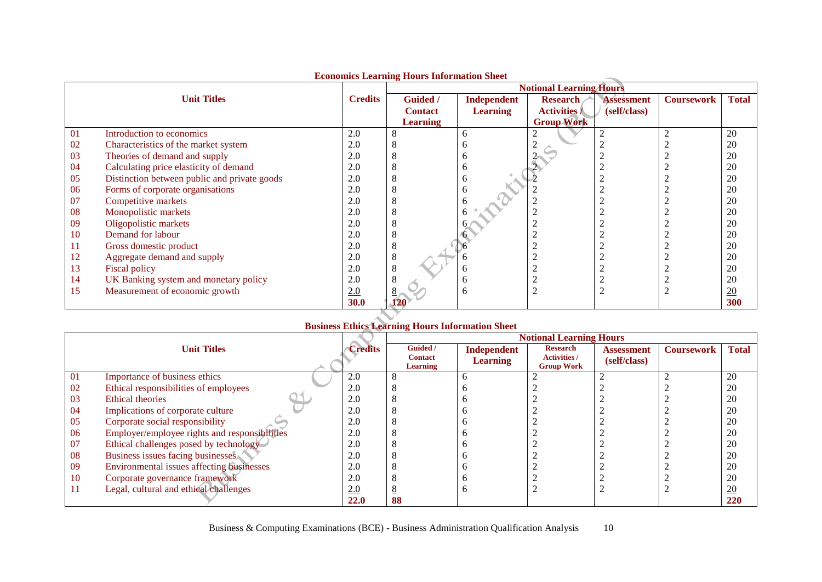| <b>Economics Learning Hours Information Sheet</b> |                                              |                |                 |                    |                                |                   |                   |                 |  |
|---------------------------------------------------|----------------------------------------------|----------------|-----------------|--------------------|--------------------------------|-------------------|-------------------|-----------------|--|
|                                                   |                                              |                |                 |                    | <b>Notional Learning Hours</b> |                   |                   |                 |  |
|                                                   | <b>Unit Titles</b>                           | <b>Credits</b> | Guided /        | <b>Independent</b> | <b>Research</b>                | <b>Assessment</b> | <b>Coursework</b> | <b>Total</b>    |  |
|                                                   |                                              |                | <b>Contact</b>  | <b>Learning</b>    | <b>Activities</b> /            | (self/class)      |                   |                 |  |
|                                                   |                                              |                | <b>Learning</b> |                    | <b>Group Work</b>              |                   |                   |                 |  |
| 01                                                | Introduction to economics                    | 2.0            |                 | 6                  |                                |                   |                   | 20              |  |
| 02                                                | Characteristics of the market system         | 2.0            |                 |                    |                                |                   |                   | 20              |  |
| 03                                                | Theories of demand and supply                | 2.0            |                 |                    |                                |                   |                   | 20              |  |
| 04                                                | Calculating price elasticity of demand       | 2.0            |                 |                    |                                |                   |                   | 20              |  |
| 05                                                | Distinction between public and private goods | 2.0            |                 | h                  |                                |                   |                   | 20              |  |
| 06                                                | Forms of corporate organisations             | 2.0            |                 |                    |                                |                   |                   | 20              |  |
| 07                                                | Competitive markets                          | 2.0            |                 |                    |                                |                   |                   | 20              |  |
| 08                                                | Monopolistic markets                         | 2.0            |                 |                    |                                |                   |                   | 20              |  |
| 09                                                | Oligopolistic markets                        | 2.0            |                 |                    |                                |                   |                   | 20              |  |
| 10                                                | Demand for labour                            | 2.0            |                 |                    |                                |                   |                   | 20              |  |
| 11                                                | Gross domestic product                       | 2.0            |                 |                    |                                |                   |                   | 20              |  |
| 12                                                | Aggregate demand and supply                  | 2.0            |                 |                    |                                |                   |                   | 20              |  |
| 13                                                | <b>Fiscal policy</b>                         | 2.0            |                 |                    |                                |                   |                   | 20              |  |
| 14                                                | UK Banking system and monetary policy        | 2.0            |                 |                    |                                |                   |                   | 20              |  |
| 15                                                | Measurement of economic growth               | 2.0            |                 | h                  | $\overline{2}$                 |                   |                   | $\overline{20}$ |  |
|                                                   |                                              | 30.0           |                 |                    |                                |                   |                   | 300             |  |

## **Economics Learning Hours Information Sheet**

# **Business Ethics Learning Hours Information Sheet**

|    |                                               |                | <b>Notional Learning Hours</b>                |                                       |                                                             |                                   |                   |                  |  |
|----|-----------------------------------------------|----------------|-----------------------------------------------|---------------------------------------|-------------------------------------------------------------|-----------------------------------|-------------------|------------------|--|
|    | <b>Unit Titles</b>                            | <b>Credits</b> | Guided /<br><b>Contact</b><br><b>Learning</b> | <b>Independent</b><br><b>Learning</b> | <b>Research</b><br><b>Activities</b> /<br><b>Group Work</b> | <b>Assessment</b><br>(self/class) | <b>Coursework</b> | <b>Total</b>     |  |
| 01 | Importance of business ethics                 | 2.0            |                                               |                                       |                                                             |                                   |                   | 20               |  |
| 02 | Ethical responsibilities of employees         | 2.0            |                                               |                                       |                                                             |                                   |                   | 20               |  |
| 03 | Ethical theories                              | 2.0            |                                               |                                       |                                                             |                                   |                   | 20               |  |
| 04 | Implications of corporate culture             | 2.0            |                                               |                                       |                                                             |                                   |                   | 20               |  |
| 05 | Corporate social responsibility               | 2.0            |                                               |                                       |                                                             |                                   |                   | 20               |  |
| 06 | Employer/employee rights and responsibilities | 2.0            |                                               |                                       |                                                             |                                   |                   | 20               |  |
| 07 | Ethical challenges posed by technology        | 2.0            |                                               |                                       |                                                             |                                   |                   | 20               |  |
| 08 | Business issues facing businesses             | 2.0            |                                               |                                       |                                                             |                                   |                   | 20               |  |
| 09 | Environmental issues affecting businesses     | 2.0            |                                               |                                       |                                                             |                                   |                   | 20               |  |
| 10 | Corporate governance framework                | 2.0            |                                               |                                       |                                                             |                                   |                   | 20               |  |
| 11 | Legal, cultural and ethical challenges        | 2.0            |                                               |                                       |                                                             |                                   |                   | $\underline{20}$ |  |
|    |                                               | 22.0           | 88                                            |                                       |                                                             |                                   |                   | 220              |  |

Business & Computing Examinations (BCE) - Business Administration Qualification Analysis 10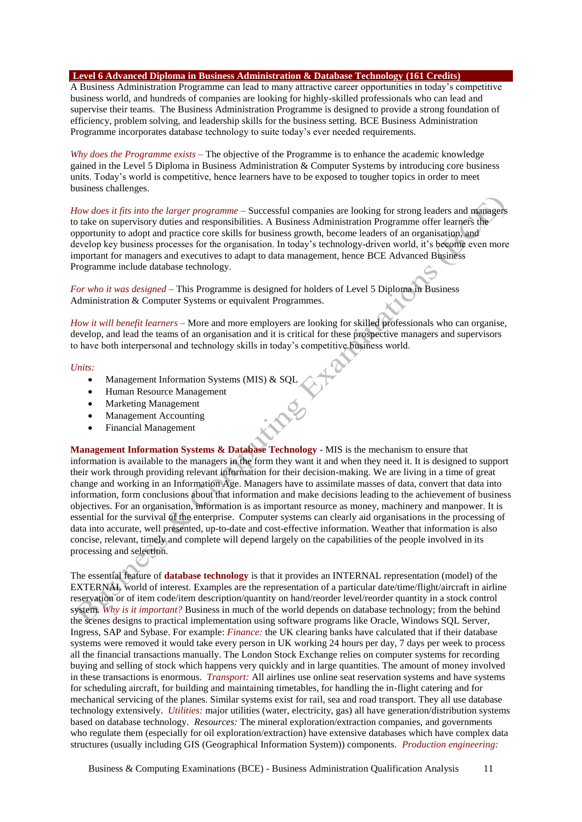#### **Level 6 Advanced Diploma in Business Administration & Database Technology (161 Credits)**

A Business Administration Programme can lead to many attractive career opportunities in today's competitive business world, and hundreds of companies are looking for highly-skilled professionals who can lead and supervise their teams. The Business Administration Programme is designed to provide a strong foundation of efficiency, problem solving, and leadership skills for the business setting. BCE Business Administration Programme incorporates database technology to suite today's ever needed requirements.

*Why does the Programme exists* – The objective of the Programme is to enhance the academic knowledge gained in the Level 5 Diploma in Business Administration & Computer Systems by introducing core business units. Today's world is competitive, hence learners have to be exposed to tougher topics in order to meet business challenges.

*How does it fits into the larger programme* – Successful companies are looking for strong leaders and managers to take on supervisory duties and responsibilities. A Business Administration Programme offer learners the opportunity to adopt and practice core skills for business growth, become leaders of an organisation, and develop key business processes for the organisation. In today's technology-driven world, it's become even more important for managers and executives to adapt to data management, hence BCE Advanced Business Programme include database technology.

*For who it was designed* – This Programme is designed for holders of Level 5 Diploma in Business Administration & Computer Systems or equivalent Programmes.

*How it will benefit learners* – More and more employers are looking for skilled professionals who can organise, develop, and lead the teams of an organisation and it is critical for these prospective managers and supervisors to have both interpersonal and technology skills in today's competitive business world.

#### *Units:*

- Management Information Systems (MIS) & SQL
- Human Resource Management
- Marketing Management
- Management Accounting
- Financial Management

**Management Information Systems & Database Technology** - MIS is the mechanism to ensure that information is available to the managers in the form they want it and when they need it. It is designed to support their work through providing relevant information for their decision-making. We are living in a time of great change and working in an Information Age. Managers have to assimilate masses of data, convert that data into information, form conclusions about that information and make decisions leading to the achievement of business objectives. For an organisation, information is as important resource as money, machinery and manpower. It is essential for the survival of the enterprise. Computer systems can clearly aid organisations in the processing of data into accurate, well presented, up-to-date and cost-effective information. Weather that information is also concise, relevant, timely and complete will depend largely on the capabilities of the people involved in its processing and selection.

The essential feature of **database technology** is that it provides an INTERNAL representation (model) of the EXTERNAL world of interest. Examples are the representation of a particular date/time/flight/aircraft in airline reservation or of item code/item description/quantity on hand/reorder level/reorder quantity in a stock control system. *Why is it important?* Business in much of the world depends on database technology; from the behind the scenes designs to practical implementation using software programs like Oracle, Windows SQL Server, Ingress, SAP and Sybase. For example: *Finance:* the UK clearing banks have calculated that if their database systems were removed it would take every person in UK working 24 hours per day, 7 days per week to process all the financial transactions manually. The London Stock Exchange relies on computer systems for recording buying and selling of stock which happens very quickly and in large quantities. The amount of money involved in these transactions is enormous. *Transport:* All airlines use online seat reservation systems and have systems for scheduling aircraft, for building and maintaining timetables, for handling the in-flight catering and for mechanical servicing of the planes. Similar systems exist for rail, sea and road transport. They all use database technology extensively. *Utilities:* major utilities (water, electricity, gas) all have generation/distribution systems based on database technology. *Resources:* The mineral exploration/extraction companies, and governments who regulate them (especially for oil exploration/extraction) have extensive databases which have complex data structures (usually including GIS (Geographical Information System)) components. *Production engineering:*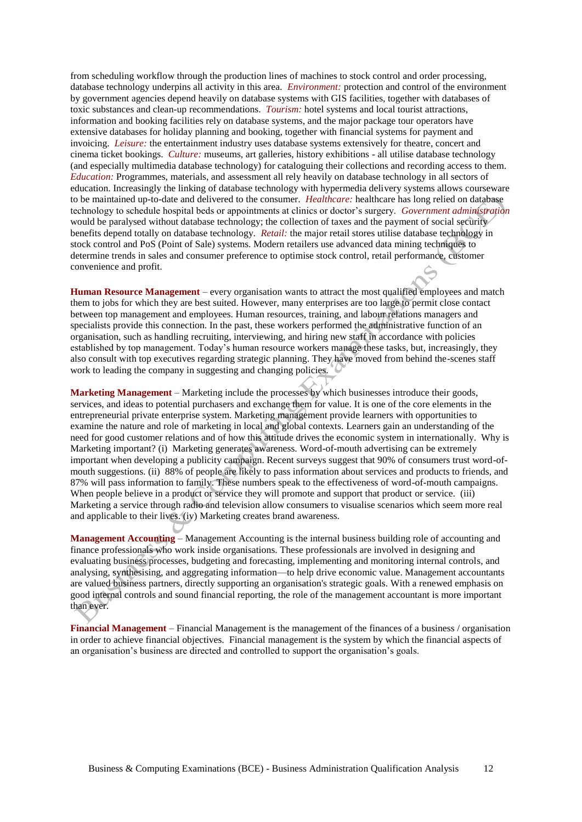from scheduling workflow through the production lines of machines to stock control and order processing, database technology underpins all activity in this area. *Environment:* protection and control of the environment by government agencies depend heavily on database systems with GIS facilities, together with databases of toxic substances and clean-up recommendations. *Tourism:* hotel systems and local tourist attractions, information and booking facilities rely on database systems, and the major package tour operators have extensive databases for holiday planning and booking, together with financial systems for payment and invoicing. *Leisure:* the entertainment industry uses database systems extensively for theatre, concert and cinema ticket bookings. *Culture:* museums, art galleries, history exhibitions - all utilise database technology (and especially multimedia database technology) for cataloguing their collections and recording access to them. *Education:* Programmes, materials, and assessment all rely heavily on database technology in all sectors of education. Increasingly the linking of database technology with hypermedia delivery systems allows courseware to be maintained up-to-date and delivered to the consumer. *Healthcare:* healthcare has long relied on database technology to schedule hospital beds or appointments at clinics or doctor's surgery. *Government administration* would be paralysed without database technology; the collection of taxes and the payment of social security benefits depend totally on database technology. *Retail:* the major retail stores utilise database technology in stock control and PoS (Point of Sale) systems. Modern retailers use advanced data mining techniques to determine trends in sales and consumer preference to optimise stock control, retail performance, customer convenience and profit.

**Human Resource Management** – every organisation wants to attract the most qualified employees and match them to jobs for which they are best suited. However, many enterprises are too large to permit close contact between top management and employees. Human resources, training, and labour relations managers and specialists provide this connection. In the past, these workers performed the administrative function of an organisation, such as handling recruiting, interviewing, and hiring new staff in accordance with policies established by top management. Today's human resource workers manage these tasks, but, increasingly, they also consult with top executives regarding strategic planning. They have moved from behind the-scenes staff work to leading the company in suggesting and changing policies.

**Marketing Management** – Marketing include the processes by which businesses introduce their goods, services, and ideas to potential purchasers and exchange them for value. It is one of the core elements in the entrepreneurial private enterprise system. Marketing management provide learners with opportunities to examine the nature and role of marketing in local and global contexts. Learners gain an understanding of the need for good customer relations and of how this attitude drives the economic system in internationally. Why is Marketing important? (i) Marketing generates awareness. Word-of-mouth advertising can be extremely important when developing a publicity campaign. Recent surveys suggest that 90% of consumers trust word-ofmouth suggestions. (ii) 88% of people are likely to pass information about services and products to friends, and 87% will pass information to family. These numbers speak to the effectiveness of word-of-mouth campaigns. When people believe in a product or service they will promote and support that product or service. (iii) Marketing a service through radio and television allow consumers to visualise scenarios which seem more real and applicable to their lives. (iv) Marketing creates brand awareness.

**Management Accounting** – Management Accounting is the internal business building role of accounting and finance professionals who work inside organisations. These professionals are involved in designing and evaluating business processes, budgeting and forecasting, implementing and monitoring internal controls, and analysing, synthesising, and aggregating information—to help drive economic value. Management accountants are valued business partners, directly supporting an organisation's strategic goals. With a renewed emphasis on good internal controls and sound financial reporting, the role of the management accountant is more important than ever.

**Financial Management** – Financial Management is the management of the finances of a business / organisation in order to achieve financial objectives. Financial management is the system by which the financial aspects of an organisation's business are directed and controlled to support the organisation's goals.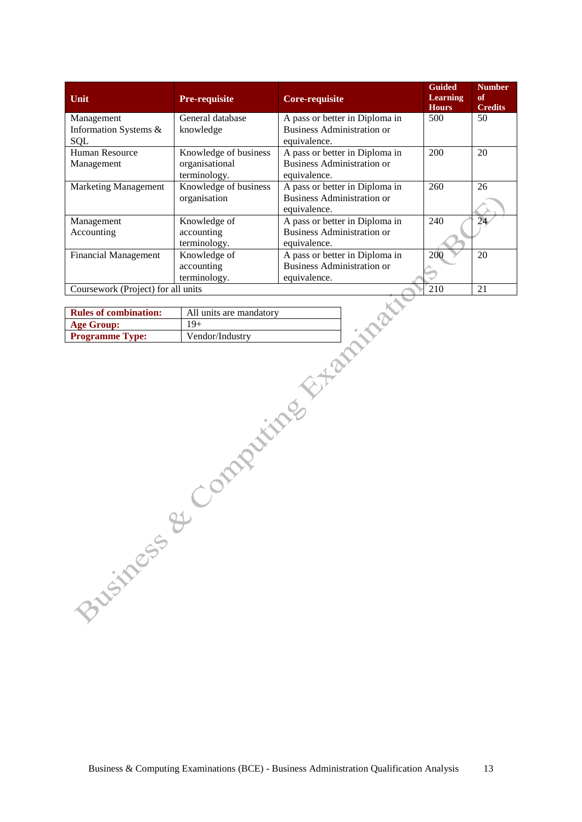| Unit                               | <b>Pre-requisite</b>  | <b>Core-requisite</b>             | <b>Guided</b><br><b>Learning</b><br><b>Hours</b> | <b>Number</b><br>of<br><b>Credits</b> |
|------------------------------------|-----------------------|-----------------------------------|--------------------------------------------------|---------------------------------------|
| Management                         | General database      | A pass or better in Diploma in    | 500                                              | 50                                    |
| Information Systems &              | knowledge             | Business Administration or        |                                                  |                                       |
| SQL                                |                       | equivalence.                      |                                                  |                                       |
| Human Resource                     | Knowledge of business | A pass or better in Diploma in    | 200                                              | 20                                    |
| Management                         | organisational        | Business Administration or        |                                                  |                                       |
|                                    | terminology.          | equivalence.                      |                                                  |                                       |
| <b>Marketing Management</b>        | Knowledge of business | A pass or better in Diploma in    | 260                                              | 26                                    |
|                                    | organisation          | Business Administration or        |                                                  |                                       |
|                                    |                       | equivalence.                      |                                                  |                                       |
| Management                         | Knowledge of          | A pass or better in Diploma in    | 240                                              | 24                                    |
| Accounting                         | accounting            | Business Administration or        |                                                  |                                       |
|                                    | terminology.          | equivalence.                      |                                                  |                                       |
| <b>Financial Management</b>        | Knowledge of          | A pass or better in Diploma in    | 200                                              | 20                                    |
|                                    | accounting            | <b>Business Administration or</b> |                                                  |                                       |
|                                    | terminology.          | equivalence.                      |                                                  |                                       |
| Coursework (Project) for all units | 210                   | 21                                |                                                  |                                       |

| <b>Rules of combination:</b> | All units are mandatory |
|------------------------------|-------------------------|
| <b>Age Group:</b>            | $19+$                   |
| <b>Programme Type:</b>       | Vendor/Industry         |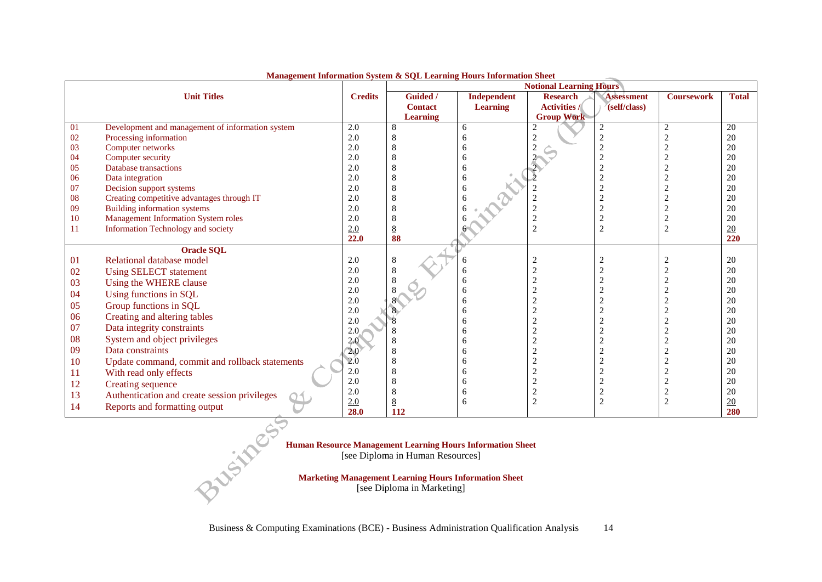| <b>Unit Titles</b>                       |                                                      | <b>Credits</b> | <b>Notional Learning Hours</b> |                 |                     |                                  |                   |                        |
|------------------------------------------|------------------------------------------------------|----------------|--------------------------------|-----------------|---------------------|----------------------------------|-------------------|------------------------|
|                                          |                                                      |                | Guided /                       | Independent     | <b>Research</b>     | <b>Assessment</b>                | <b>Coursework</b> | <b>Total</b>           |
|                                          |                                                      |                | <b>Contact</b>                 | <b>Learning</b> | <b>Activities</b> / | (self/class)                     |                   |                        |
|                                          |                                                      |                | Learning                       |                 | <b>Group Work</b>   |                                  |                   |                        |
| 01                                       | Development and management of information system     | 2.0            | 8                              | 6               | $\overline{2}$      | $\overline{c}$                   | $\overline{2}$    | 20                     |
| 02                                       | Processing information                               | 2.0<br>2.0     |                                | 6               |                     | $\overline{c}$                   |                   | 20                     |
| 03                                       | Computer networks                                    |                |                                | 6               |                     |                                  |                   | 20                     |
| 04                                       | Computer security                                    |                |                                | 6               |                     | $\overline{2}$                   |                   | 20                     |
| 05                                       | Database transactions                                |                |                                | 6               |                     | $\overline{c}$                   |                   | 20                     |
| 06                                       | Data integration                                     |                |                                | 6               |                     | $\overline{c}$                   | ◠                 | 20                     |
| 07                                       | Decision support systems                             |                |                                |                 |                     | $\overline{c}$                   |                   | 20                     |
|                                          | 08<br>Creating competitive advantages through IT     |                | 8                              | 6               |                     | $\overline{c}$                   |                   | 20                     |
|                                          | <b>Building information systems</b><br>09            |                |                                |                 |                     | $\overline{2}$                   |                   | 20                     |
|                                          | Management Information System roles<br>10            |                | 8                              |                 |                     | $\overline{c}$                   |                   | 20                     |
| Information Technology and society<br>11 |                                                      | 2.0            | $\underline{8}$                |                 | $\overline{2}$      | $\overline{2}$                   | $\overline{c}$    | 20                     |
|                                          |                                                      | 22.0           | 88                             |                 |                     |                                  |                   | 220                    |
| <b>Oracle SQL</b>                        |                                                      |                |                                |                 |                     |                                  |                   |                        |
| 01                                       | Relational database model                            | 2.0<br>2.0     | 8                              |                 | $\overline{2}$      | $\overline{2}$                   |                   | 20                     |
|                                          | 02<br>Using SELECT statement                         |                |                                | 6               |                     | $\overline{2}$                   |                   | 20                     |
| 03                                       | Using the WHERE clause                               |                |                                | 6               |                     | $\overline{2}$                   |                   | 20                     |
| 04                                       | Using functions in SQL                               |                |                                | 6               |                     | $\overline{c}$<br>$\Omega$       |                   | 20                     |
| 05                                       | Group functions in SQL                               |                |                                | 6               |                     | ∠                                |                   | 20                     |
| Creating and altering tables<br>06       |                                                      | 2.0            |                                | 6               |                     | $\overline{2}$                   |                   | 20                     |
| Data integrity constraints<br>07         |                                                      | 2.0<br>2.0     |                                | 6               |                     | $\overline{2}$                   |                   | 20                     |
| 08                                       | System and object privileges                         |                |                                | 6               |                     | $\overline{2}$                   |                   | 20                     |
|                                          |                                                      |                |                                | 6               |                     | $\overline{2}$                   |                   | 20                     |
| 09<br>Data constraints                   |                                                      | 2.0<br>2.0     |                                | 6               |                     | $\overline{2}$                   |                   | 20                     |
|                                          | Update command, commit and rollback statements<br>10 |                |                                | 6               |                     | $\overline{2}$                   |                   | 20                     |
| With read only effects<br>11             |                                                      | 2.0<br>2.0     |                                | 6               |                     | $\overline{2}$<br>$\overline{2}$ |                   | 20<br>20               |
| 12<br>Creating sequence                  |                                                      |                |                                | 6               |                     |                                  |                   |                        |
| 13                                       | Authentication and create session privileges         | 2.0            |                                | 6               | $\overline{2}$      | $\overline{c}$<br>$\overline{2}$ |                   | 20                     |
| 14                                       | Reports and formatting output                        | 2.0<br>28.0    | 8<br>112                       | 6               |                     |                                  | $\overline{2}$    | $\overline{20}$<br>280 |
|                                          |                                                      |                |                                |                 |                     |                                  |                   |                        |

**Management Information System & SQL Learning Hours Information Sheet**

**Human Resource Management Learning Hours Information Sheet**

[see Diploma in Human Resources]

**Marketing Management Learning Hours Information Sheet** [see Diploma in Marketing]